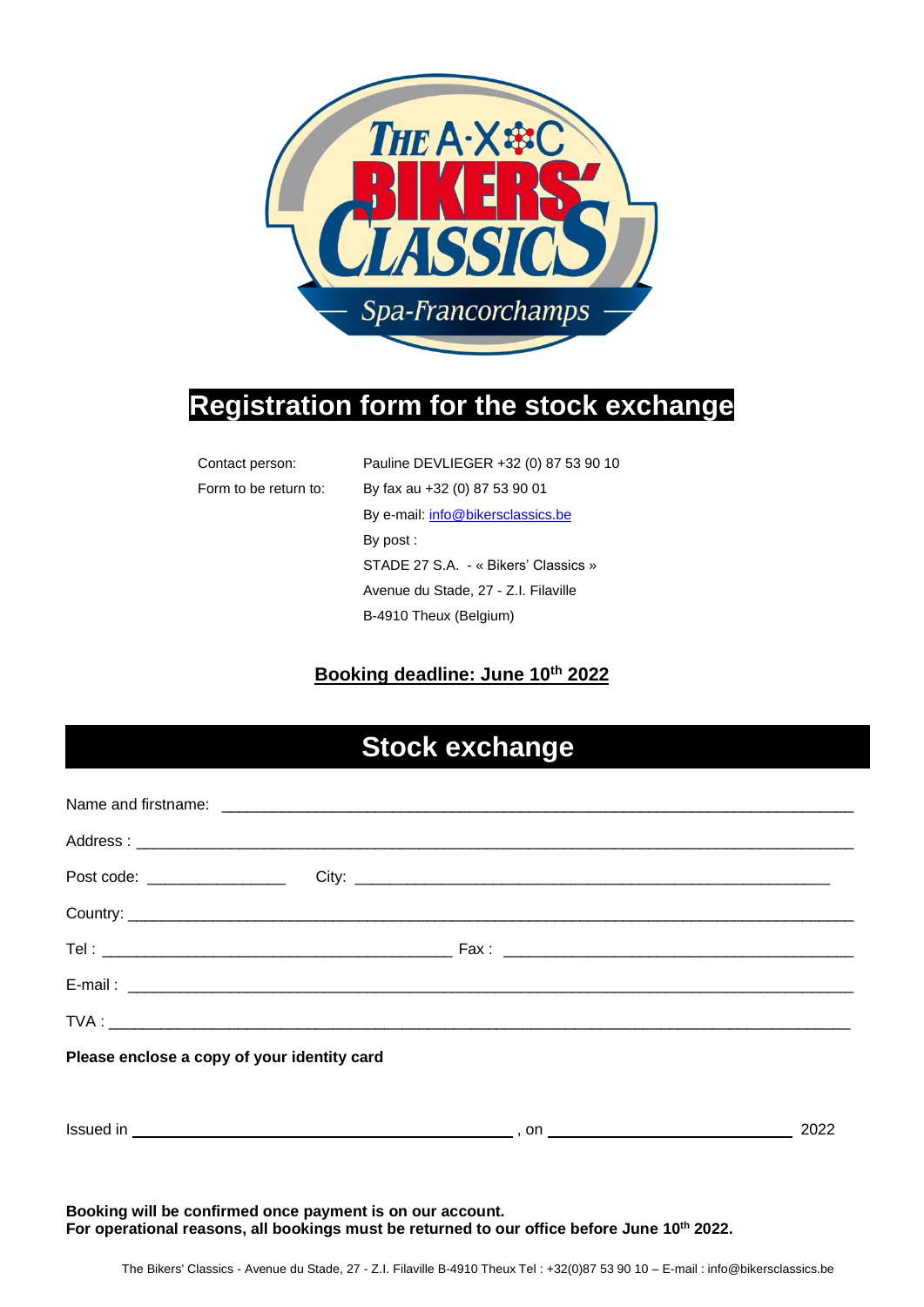

## **Registration form for the stock exchange**

| Contact person:       | Pauline DEVLIEGER +32 (0) 87 53 90 10 |  |
|-----------------------|---------------------------------------|--|
| Form to be return to: | By fax au +32 (0) 87 53 90 01         |  |
|                       | By e-mail: info@bikersclassics.be     |  |
|                       | By post:                              |  |
|                       | STADE 27 S.A. - « Bikers' Classics »  |  |
|                       | Avenue du Stade, 27 - Z.I. Filaville  |  |
|                       | B-4910 Theux (Belgium)                |  |

#### **Booking deadline: June 10 th 2022**

# **Stock exchange**

| Please enclose a copy of your identity card |  |      |
|---------------------------------------------|--|------|
|                                             |  | 2022 |

**Booking will be confirmed once payment is on our account. For operational reasons, all bookings must be returned to our office before June 10 th 2022.**